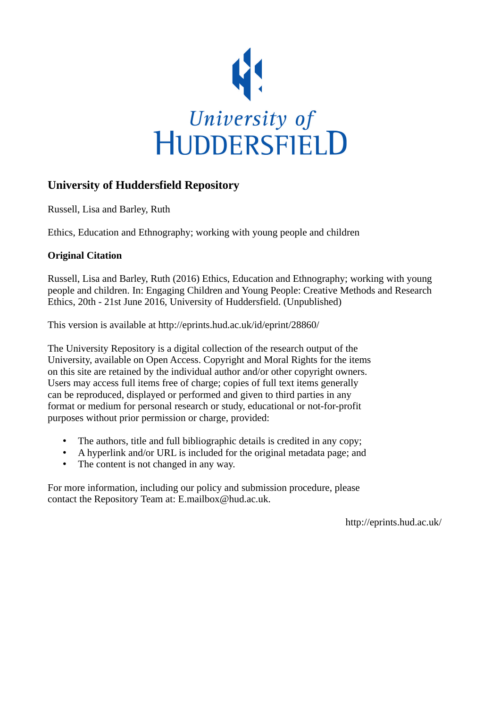

# **University of Huddersfield Repository**

Russell, Lisa and Barley, Ruth

Ethics, Education and Ethnography; working with young people and children

## **Original Citation**

Russell, Lisa and Barley, Ruth (2016) Ethics, Education and Ethnography; working with young people and children. In: Engaging Children and Young People: Creative Methods and Research Ethics, 20th - 21st June 2016, University of Huddersfield. (Unpublished)

This version is available at http://eprints.hud.ac.uk/id/eprint/28860/

The University Repository is a digital collection of the research output of the University, available on Open Access. Copyright and Moral Rights for the items on this site are retained by the individual author and/or other copyright owners. Users may access full items free of charge; copies of full text items generally can be reproduced, displayed or performed and given to third parties in any format or medium for personal research or study, educational or not-for-profit purposes without prior permission or charge, provided:

- The authors, title and full bibliographic details is credited in any copy;
- A hyperlink and/or URL is included for the original metadata page; and
- The content is not changed in any way.

For more information, including our policy and submission procedure, please contact the Repository Team at: E.mailbox@hud.ac.uk.

http://eprints.hud.ac.uk/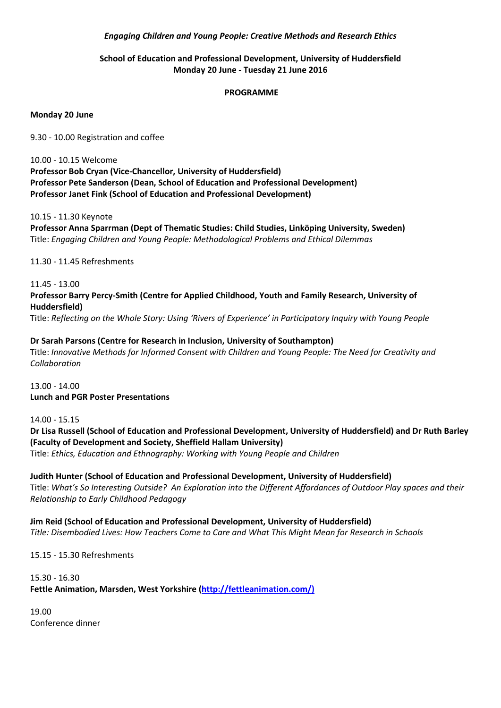#### *Engaging Children and Young People: Creative Methods and Research Ethics*

### **School of Education and Professional Development, University of Huddersfield Monday 20 June - Tuesday 21 June 2016**

#### **PROGRAMME**

#### **Monday 20 June**

9.30 - 10.00 Registration and coffee

10.00 - 10.15 Welcome **Professor Bob Cryan (Vice-Chancellor, University of Huddersfield) Professor Pete Sanderson (Dean, School of Education and Professional Development) Professor Janet Fink (School of Education and Professional Development)**

#### 10.15 - 11.30 Keynote

**Professor Anna Sparrman (Dept of Thematic Studies: Child Studies, Linköping University, Sweden)**  Title: *Engaging Children and Young People: Methodological Problems and Ethical Dilemmas*

11.30 - 11.45 Refreshments

11.45 - 13.00 **Professor Barry Percy-Smith (Centre for Applied Childhood, Youth and Family Research, University of Huddersfield)**

Title: *Reflecting on the Whole Story: Using 'Rivers of Experience' in Participatory Inquiry with Young People*

**Dr Sarah Parsons (Centre for Research in Inclusion, University of Southampton)**  Title: *Innovative Methods for Informed Consent with Children and Young People: The Need for Creativity and Collaboration*

13.00 - 14.00 **Lunch and PGR Poster Presentations** 

14.00 - 15.15

**Dr Lisa Russell (School of Education and Professional Development, University of Huddersfield) and Dr Ruth Barley (Faculty of Development and Society, Sheffield Hallam University)**

Title: *Ethics, Education and Ethnography: Working with Young People and Children*

**Judith Hunter (School of Education and Professional Development, University of Huddersfield)** Title: *What's So Interesting Outside? An Exploration into the Different Affordances of Outdoor Play spaces and their Relationship to Early Childhood Pedagogy*

**Jim Reid (School of Education and Professional Development, University of Huddersfield)** *Title: Disembodied Lives: How Teachers Come to Care and What This Might Mean for Research in Schools*

15.15 - 15.30 Refreshments

15.30 - 16.30 **Fettle Animation, Marsden, West Yorkshire [\(http://fettleanimation.com/\)](http://fettleanimation.com/)**

19.00 Conference dinner